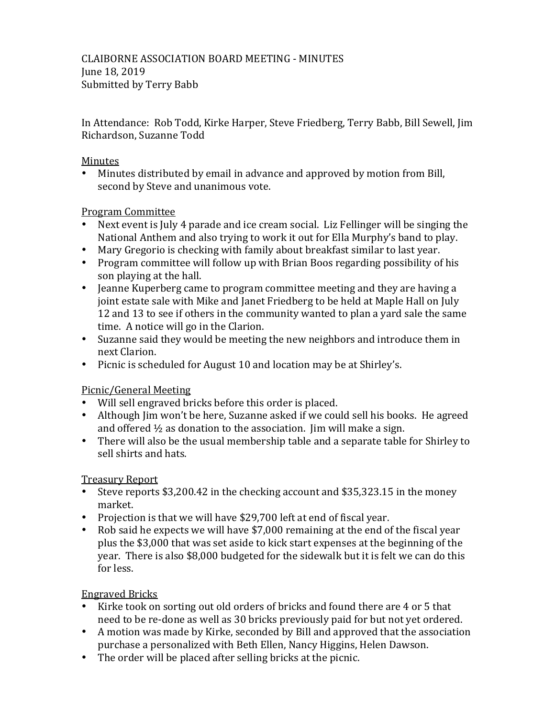In Attendance: Rob Todd, Kirke Harper, Steve Friedberg, Terry Babb, Bill Sewell, Jim Richardson, Suzanne Todd

### Minutes

• Minutes distributed by email in advance and approved by motion from Bill, second by Steve and unanimous vote.

### Program Committee

- Next event is July 4 parade and ice cream social. Liz Fellinger will be singing the National Anthem and also trying to work it out for Ella Murphy's band to play.
- Mary Gregorio is checking with family about breakfast similar to last year.
- Program committee will follow up with Brian Boos regarding possibility of his son playing at the hall.
- Jeanne Kuperberg came to program committee meeting and they are having a joint estate sale with Mike and Janet Friedberg to be held at Maple Hall on July 12 and 13 to see if others in the community wanted to plan a yard sale the same time. A notice will go in the Clarion.
- Suzanne said they would be meeting the new neighbors and introduce them in next Clarion.
- Picnic is scheduled for August 10 and location may be at Shirley's.

# Picnic/General Meeting

- Will sell engraved bricks before this order is placed.
- Although Jim won't be here, Suzanne asked if we could sell his books. He agreed and offered  $\frac{1}{2}$  as donation to the association. Jim will make a sign.
- There will also be the usual membership table and a separate table for Shirley to sell shirts and hats.

# Treasury Report

- Steve reports \$3,200.42 in the checking account and \$35,323.15 in the money market.
- Projection is that we will have \$29,700 left at end of fiscal year.
- Rob said he expects we will have \$7,000 remaining at the end of the fiscal year plus the \$3,000 that was set aside to kick start expenses at the beginning of the year. There is also \$8,000 budgeted for the sidewalk but it is felt we can do this for less.

# Engraved Bricks

- Kirke took on sorting out old orders of bricks and found there are 4 or 5 that need to be re-done as well as 30 bricks previously paid for but not vet ordered.
- A motion was made by Kirke, seconded by Bill and approved that the association purchase a personalized with Beth Ellen, Nancy Higgins, Helen Dawson.
- The order will be placed after selling bricks at the picnic.